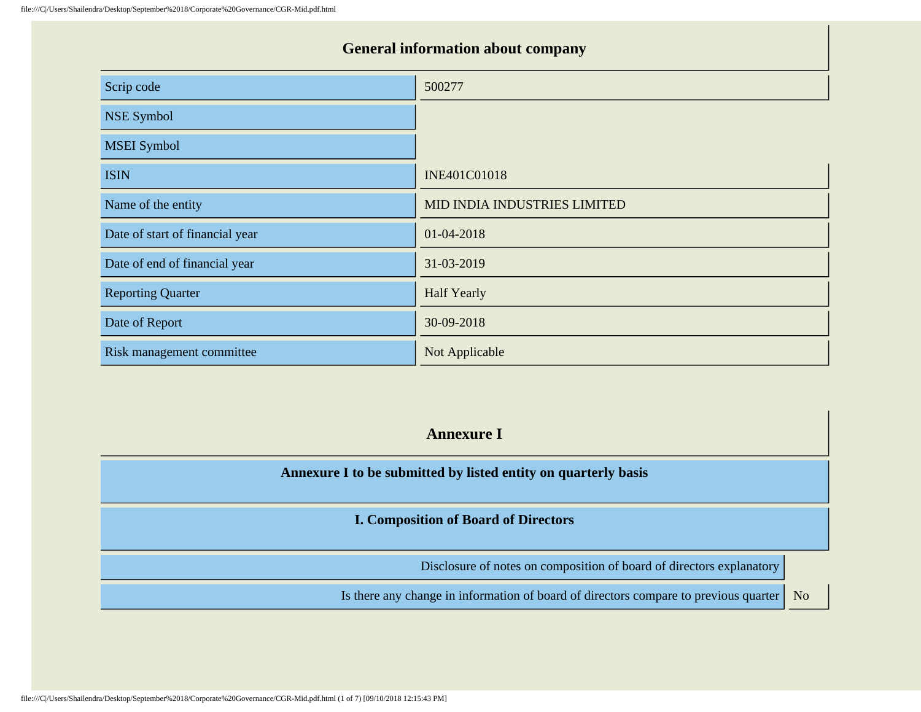# **General information about company** Scrip code 500277 NSE Symbol MSEI Symbol ISIN ISIN **INE401C01018** Name of the entity Name of the entity Name of the entity Null and the entity Null and the entity Null and the entity  $\blacksquare$ Date of start of financial year 01-04-2018 Date of end of financial year 31-03-2019 Reporting Quarter **Half Yearly** Date of Report 30-09-2018 Risk management committee Not Applicable

#### **Annexure I**

**Annexure I to be submitted by listed entity on quarterly basis**

**I. Composition of Board of Directors**

Disclosure of notes on composition of board of directors explanatory

Is there any change in information of board of directors compare to previous quarter | No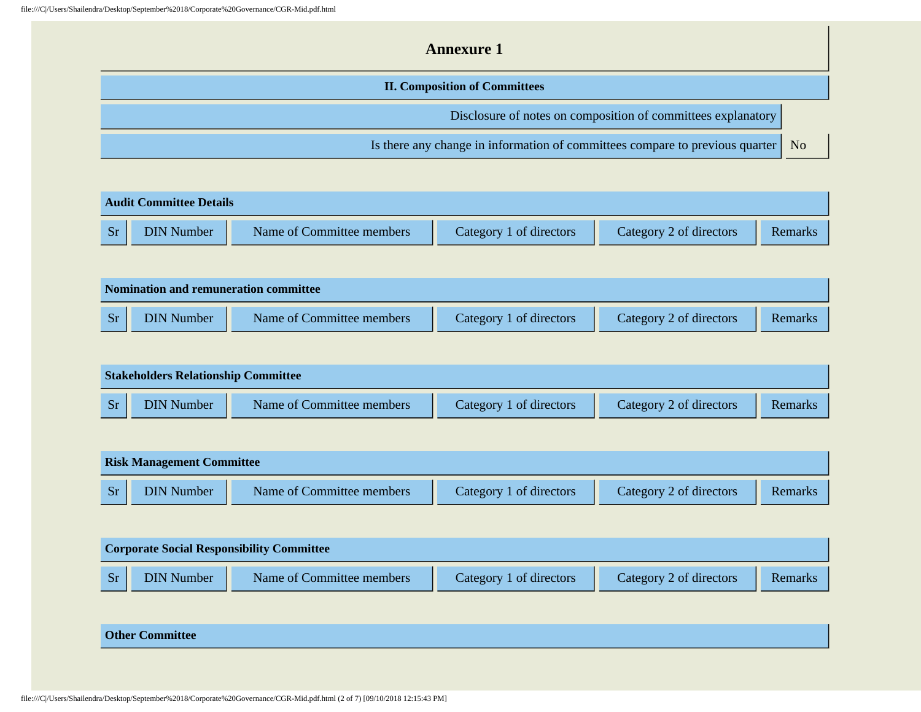| <b>Annexure 1</b>                                                            |                |
|------------------------------------------------------------------------------|----------------|
| <b>II. Composition of Committees</b>                                         |                |
| Disclosure of notes on composition of committees explanatory                 |                |
| Is there any change in information of committees compare to previous quarter | N <sub>o</sub> |

|           | <b>Audit Committee Details</b> |                           |                         |                         |         |  |  |
|-----------|--------------------------------|---------------------------|-------------------------|-------------------------|---------|--|--|
| <b>Sr</b> | <b>DIN Number</b>              | Name of Committee members | Category 1 of directors | Category 2 of directors | Remarks |  |  |

| <b>Nomination and remuneration committee</b> |                   |                           |                         |                         |         |  |
|----------------------------------------------|-------------------|---------------------------|-------------------------|-------------------------|---------|--|
| <b>Sr</b>                                    | <b>DIN Number</b> | Name of Committee members | Category 1 of directors | Category 2 of directors | Remarks |  |

| <b>Stakeholders Relationship Committee</b> |                   |                           |                         |                         |         |
|--------------------------------------------|-------------------|---------------------------|-------------------------|-------------------------|---------|
| <b>Sr</b>                                  | <b>DIN Number</b> | Name of Committee members | Category 1 of directors | Category 2 of directors | Remarks |

| <b>Risk Management Committee</b> |                   |                           |                         |                         |         |  |
|----------------------------------|-------------------|---------------------------|-------------------------|-------------------------|---------|--|
| Sr/                              | <b>DIN Number</b> | Name of Committee members | Category 1 of directors | Category 2 of directors | Remarks |  |

|           | <b>Corporate Social Responsibility Committee</b> |                           |                         |                         |         |  |
|-----------|--------------------------------------------------|---------------------------|-------------------------|-------------------------|---------|--|
| <b>Sr</b> | <b>DIN Number</b>                                | Name of Committee members | Category 1 of directors | Category 2 of directors | Remarks |  |

#### **Other Committee**

file:///C|/Users/Shailendra/Desktop/September%2018/Corporate%20Governance/CGR-Mid.pdf.html (2 of 7) [09/10/2018 12:15:43 PM]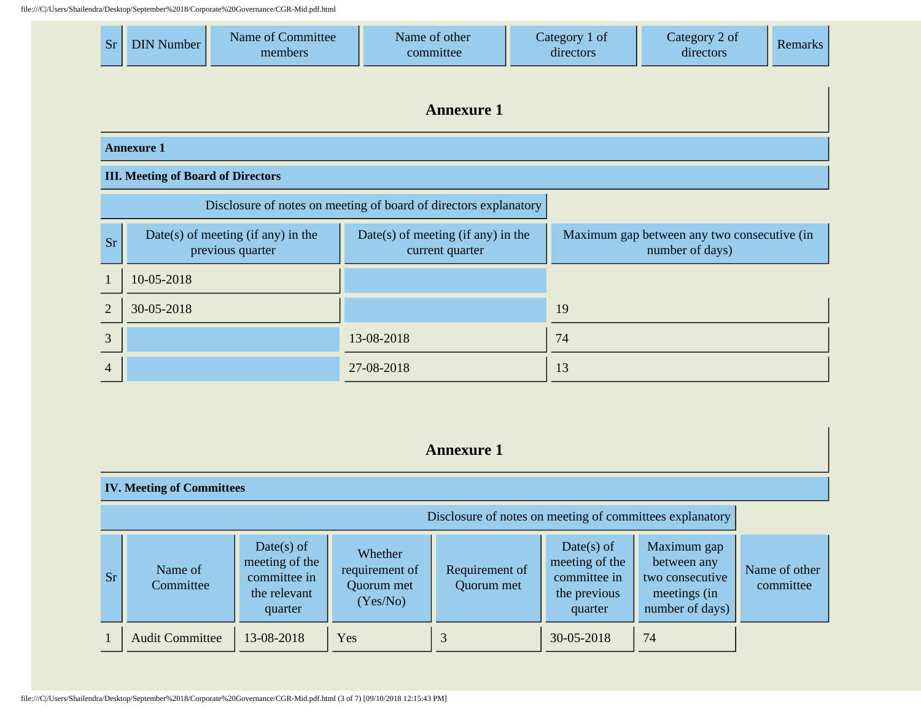file:///C|/Users/Shailendra/Desktop/September%2018/Corporate%20Governance/CGR-Mid.pdf.html

T

| chara Desktop/Deptember /02010/ Corporate /02000+ermaned COR Trifd.par.mini |                                                                  |                                                        |                                                       |                            |                                                                |                |
|-----------------------------------------------------------------------------|------------------------------------------------------------------|--------------------------------------------------------|-------------------------------------------------------|----------------------------|----------------------------------------------------------------|----------------|
| <b>Sr</b>                                                                   | <b>DIN Number</b>                                                | Name of Committee<br>members                           | Name of other<br>committee                            | Category 1 of<br>directors | Category 2 of<br>directors                                     | <b>Remarks</b> |
|                                                                             | <b>Annexure 1</b>                                                |                                                        |                                                       |                            |                                                                |                |
|                                                                             | <b>Annexure 1</b>                                                |                                                        |                                                       |                            |                                                                |                |
|                                                                             | <b>III. Meeting of Board of Directors</b>                        |                                                        |                                                       |                            |                                                                |                |
|                                                                             | Disclosure of notes on meeting of board of directors explanatory |                                                        |                                                       |                            |                                                                |                |
| <b>Sr</b>                                                                   |                                                                  | Date(s) of meeting (if any) in the<br>previous quarter | Date(s) of meeting (if any) in the<br>current quarter |                            | Maximum gap between any two consecutive (in<br>number of days) |                |

|                   | 10-05-2018 |            |    |
|-------------------|------------|------------|----|
| $\overline{2}$    | 30-05-2018 |            | 19 |
| $\mathbf{z}$<br>◡ |            | 13-08-2018 | 74 |
| $\overline{4}$    |            | 27-08-2018 | 13 |

#### **Annexure 1**

#### **IV. Meeting of Committees** Disclosure of notes on meeting of committees explanatory  $S_r$  Name of **Committee** Date(s) of meeting of the committee in the relevant quarter Whether requirement of Quorum met (Yes/No) Requirement of Quorum met Date(s) of meeting of the committee in the previous quarter Maximum gap between any two consecutive meetings (in number of days) Name of other committee 1 | Audit Committee | 13-08-2018 | Yes | 3 | 30-05-2018 | 74

file:///C|/Users/Shailendra/Desktop/September%2018/Corporate%20Governance/CGR-Mid.pdf.html (3 of 7) [09/10/2018 12:15:43 PM]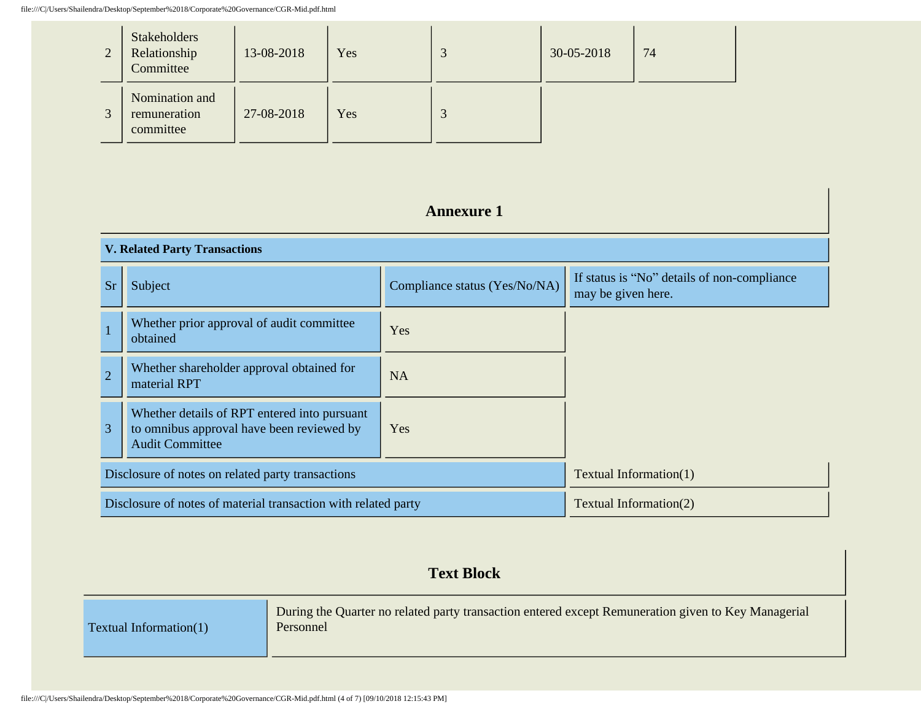| $\mathcal{D}$ | <b>Stakeholders</b><br>Relationship<br>Committee | 13-08-2018 | Yes | ت | 30-05-2018 | 74 |
|---------------|--------------------------------------------------|------------|-----|---|------------|----|
| $\mathbf{c}$  | Nomination and<br>remuneration<br>committee      | 27-08-2018 | Yes |   |            |    |

# **Annexure 1**

| <b>V. Related Party Transactions</b>              |                                                                                                                     |                               |                                                                   |  |  |
|---------------------------------------------------|---------------------------------------------------------------------------------------------------------------------|-------------------------------|-------------------------------------------------------------------|--|--|
| <b>Sr</b>                                         | Subject                                                                                                             | Compliance status (Yes/No/NA) | If status is "No" details of non-compliance<br>may be given here. |  |  |
|                                                   | Whether prior approval of audit committee<br>obtained                                                               | Yes                           |                                                                   |  |  |
| $\overline{2}$                                    | Whether shareholder approval obtained for<br>material RPT                                                           | <b>NA</b>                     |                                                                   |  |  |
| 3                                                 | Whether details of RPT entered into pursuant<br>to omnibus approval have been reviewed by<br><b>Audit Committee</b> | Yes                           |                                                                   |  |  |
| Disclosure of notes on related party transactions |                                                                                                                     | Textual Information(1)        |                                                                   |  |  |
|                                                   | Disclosure of notes of material transaction with related party                                                      |                               | Textual Information(2)                                            |  |  |

# **Text Block**

| Textual Information(1) | During the Quarter no related party transaction entered except Remuneration given to Key Managerial<br>Personnel |
|------------------------|------------------------------------------------------------------------------------------------------------------|
|                        |                                                                                                                  |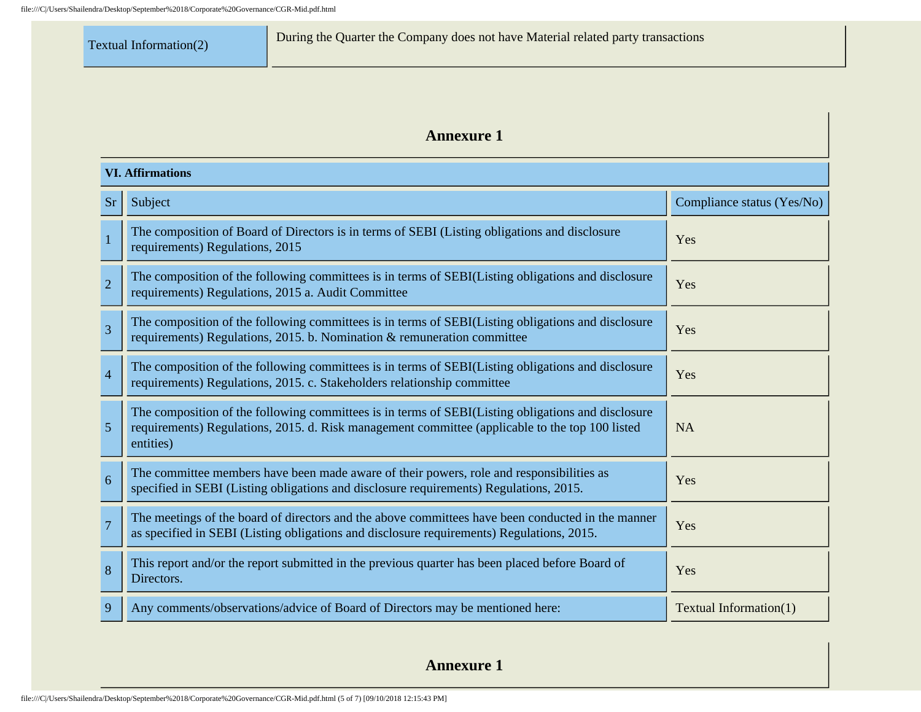# **Annexure 1**

|                | <b>VI. Affirmations</b>                                                                                                                                                                                            |                            |  |  |  |  |
|----------------|--------------------------------------------------------------------------------------------------------------------------------------------------------------------------------------------------------------------|----------------------------|--|--|--|--|
| <b>Sr</b>      | Subject                                                                                                                                                                                                            | Compliance status (Yes/No) |  |  |  |  |
| $\mathbf{1}$   | The composition of Board of Directors is in terms of SEBI (Listing obligations and disclosure<br>requirements) Regulations, 2015                                                                                   | Yes                        |  |  |  |  |
| $\overline{2}$ | The composition of the following committees is in terms of SEBI(Listing obligations and disclosure<br>requirements) Regulations, 2015 a. Audit Committee                                                           | Yes                        |  |  |  |  |
| $\overline{3}$ | The composition of the following committees is in terms of SEBI(Listing obligations and disclosure<br>requirements) Regulations, 2015. b. Nomination & remuneration committee                                      | Yes                        |  |  |  |  |
| $\overline{4}$ | The composition of the following committees is in terms of SEBI(Listing obligations and disclosure<br>requirements) Regulations, 2015. c. Stakeholders relationship committee                                      | Yes                        |  |  |  |  |
| 5              | The composition of the following committees is in terms of SEBI(Listing obligations and disclosure<br>requirements) Regulations, 2015. d. Risk management committee (applicable to the top 100 listed<br>entities) | <b>NA</b>                  |  |  |  |  |
| 6              | The committee members have been made aware of their powers, role and responsibilities as<br>specified in SEBI (Listing obligations and disclosure requirements) Regulations, 2015.                                 | Yes                        |  |  |  |  |
| $\overline{7}$ | The meetings of the board of directors and the above committees have been conducted in the manner<br>as specified in SEBI (Listing obligations and disclosure requirements) Regulations, 2015.                     | Yes                        |  |  |  |  |
| 8              | This report and/or the report submitted in the previous quarter has been placed before Board of<br>Directors.                                                                                                      | Yes                        |  |  |  |  |
| 9              | Any comments/observations/advice of Board of Directors may be mentioned here:                                                                                                                                      | Textual Information(1)     |  |  |  |  |

**Annexure 1**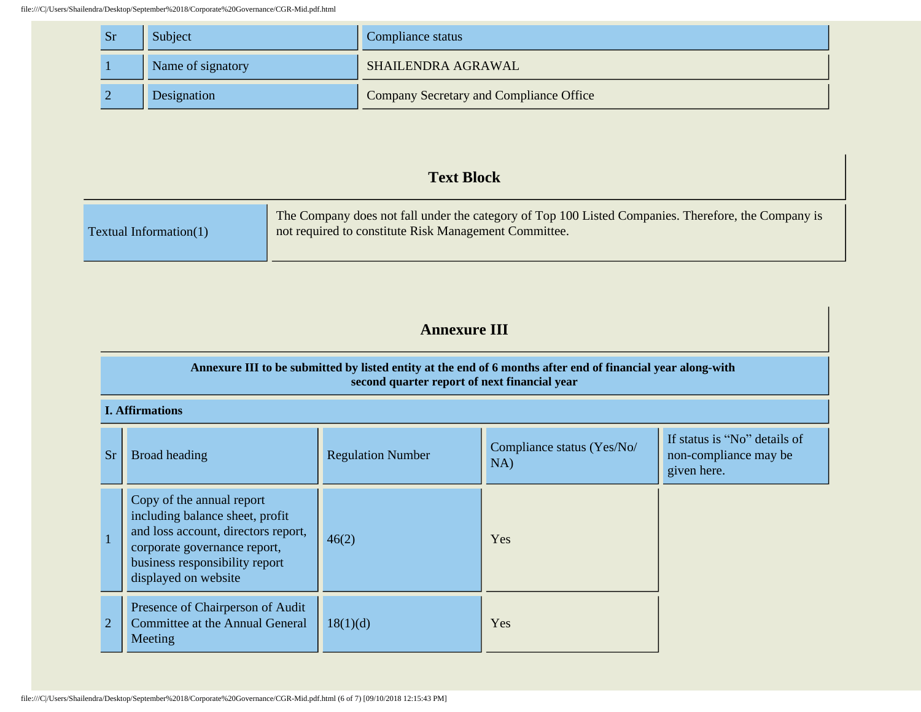| <b>Sr</b> | Subject           | Compliance status                              |
|-----------|-------------------|------------------------------------------------|
|           | Name of signatory | SHAILENDRA AGRAWAL                             |
|           | Designation       | <b>Company Secretary and Compliance Office</b> |

#### **Text Block**

| Textual Information $(1)$ | The Company does not fall under the category of Top 100 Listed Companies. Therefore, the Company is<br>not required to constitute Risk Management Committee. |
|---------------------------|--------------------------------------------------------------------------------------------------------------------------------------------------------------|
|---------------------------|--------------------------------------------------------------------------------------------------------------------------------------------------------------|

# **Annexure III**

#### **Annexure III to be submitted by listed entity at the end of 6 months after end of financial year along-with second quarter report of next financial year**

#### **I. Affirmations**

| Sr             | Broad heading                                                                                                                                                                                 | <b>Regulation Number</b> | Compliance status (Yes/No/<br>NA) | If status is "No" details of<br>non-compliance may be<br>given here. |
|----------------|-----------------------------------------------------------------------------------------------------------------------------------------------------------------------------------------------|--------------------------|-----------------------------------|----------------------------------------------------------------------|
|                | Copy of the annual report<br>including balance sheet, profit<br>and loss account, directors report,<br>corporate governance report,<br>business responsibility report<br>displayed on website | 46(2)                    | Yes                               |                                                                      |
| $\overline{2}$ | Presence of Chairperson of Audit<br>Committee at the Annual General<br>Meeting                                                                                                                | 18(1)(d)                 | Yes                               |                                                                      |